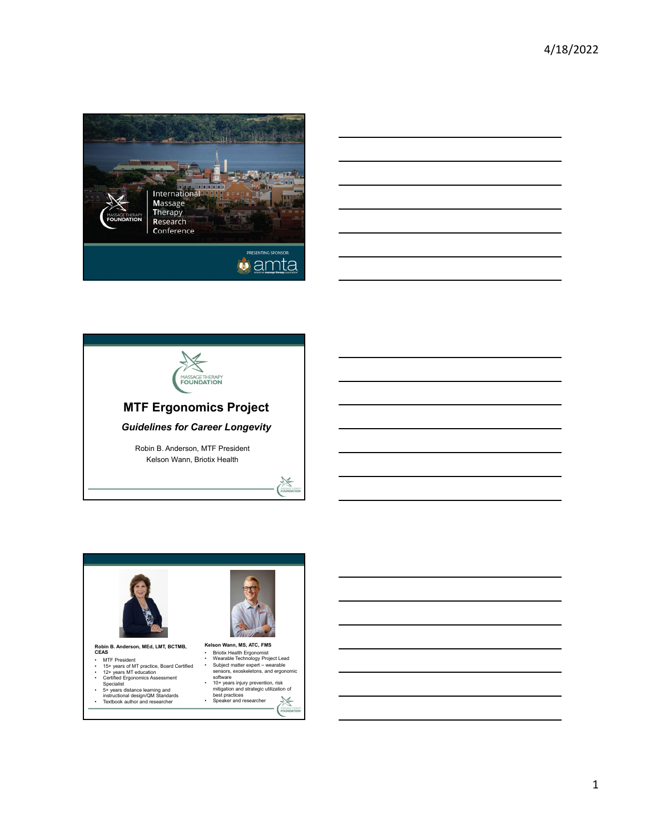





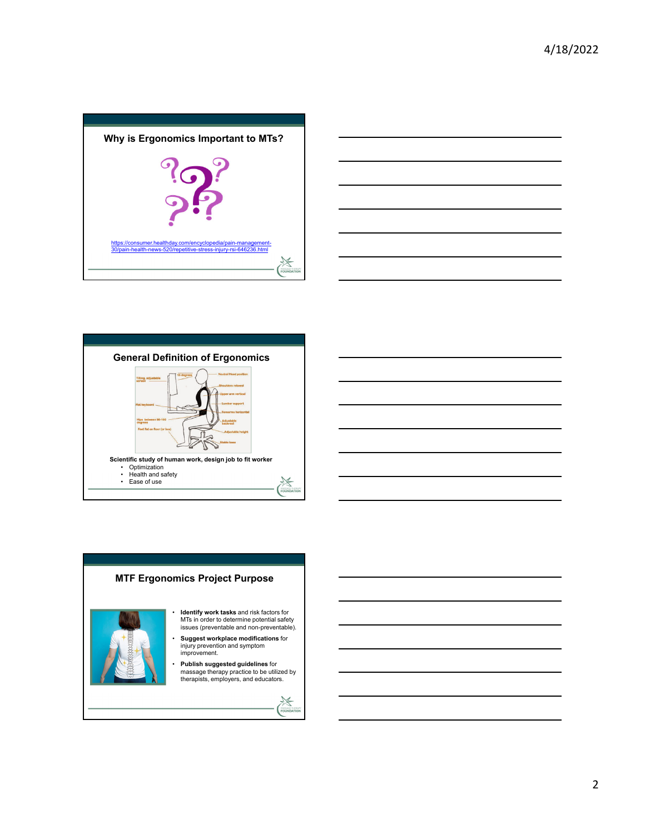





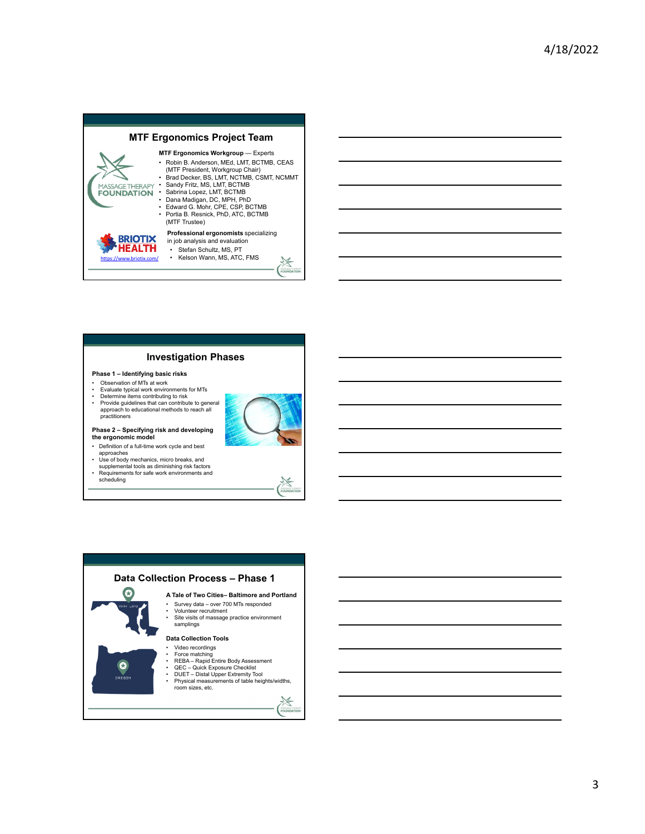

## **Investigation Phases**

#### **Phase 1 – Identifying basic risks**

- Observation of MTs at work • Evaluate typical work environments for MTs
- Determine items contributing to risk Provide guidelines that can contribute to general approach to educational methods to reach all practitioners



**Phase 2 – Specifying risk and developing the ergonomic model**

- Definition of a full-time work cycle and best
- 
- approaches Use of body mechanics, micro breaks, and
- supplemental tools as diminishing risk factors Requirements for safe work environments and
- scheduling

Gŧ

 $\bullet$ 



- Survey data over 700 MTs responded Volunteer recruitment Site visits of massage practice environment
- samplings

## **Data Collection Tools**

- Video recordings
- 
- Force matching REBA Rapid Entire Body Assessment QEC Quick Exposure Checklist DUET Distal Upper Extremity Tool
- 
- Physical measurements of table heights/widths, room sizes, etc.
	-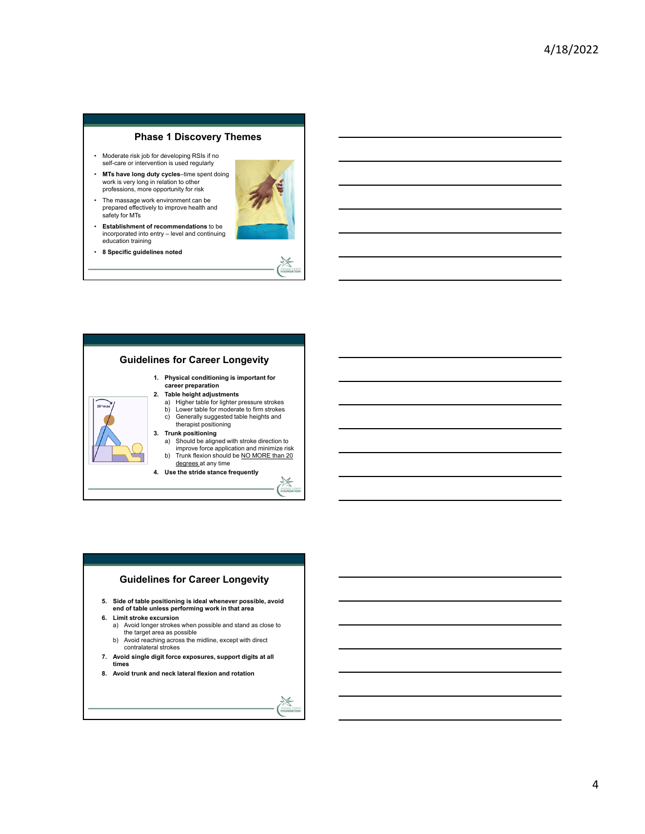## **Phase 1 Discovery Themes**

- Moderate risk job for developing RSIs if no self-care or intervention is used regularly
- **MTs have long duty cycles**–time spent doing work is very long in relation to other professions, more opportunity for risk
- The massage work environment can be prepared effectively to improve health and safety for MTs
- **Establishment of recommendations** to be incorporated into entry – level and continuing education training
- **8 Specific guidelines noted**



### **Guidelines for Career Longevity**

- **5. Side of table positioning is ideal whenever possible, avoid end of table unless performing work in that area**
- **6. Limit stroke excursion**
	- a) Avoid longer strokes when possible and stand as close to the target area as possible b) Avoid reaching across the midline, except with direct
- contralateral strokes **7. Avoid single digit force exposures, support digits at all**
- **times**
- **8. Avoid trunk and neck lateral flexion and rotation**

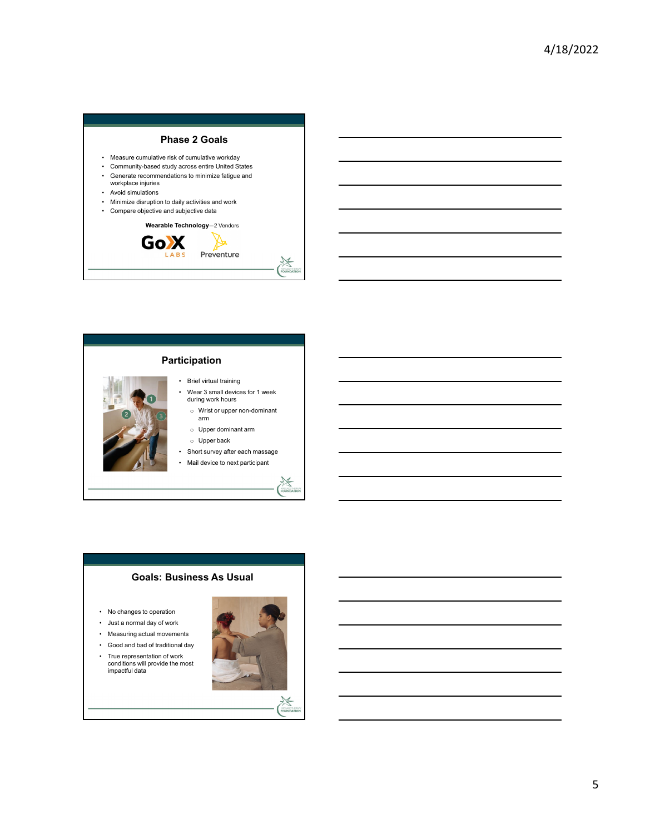



# **Goals: Business As Usual**

- No changes to operation
- Just a normal day of work
- Measuring actual movements
- Good and bad of traditional day
- True representation of work conditions will provide the most impactful data

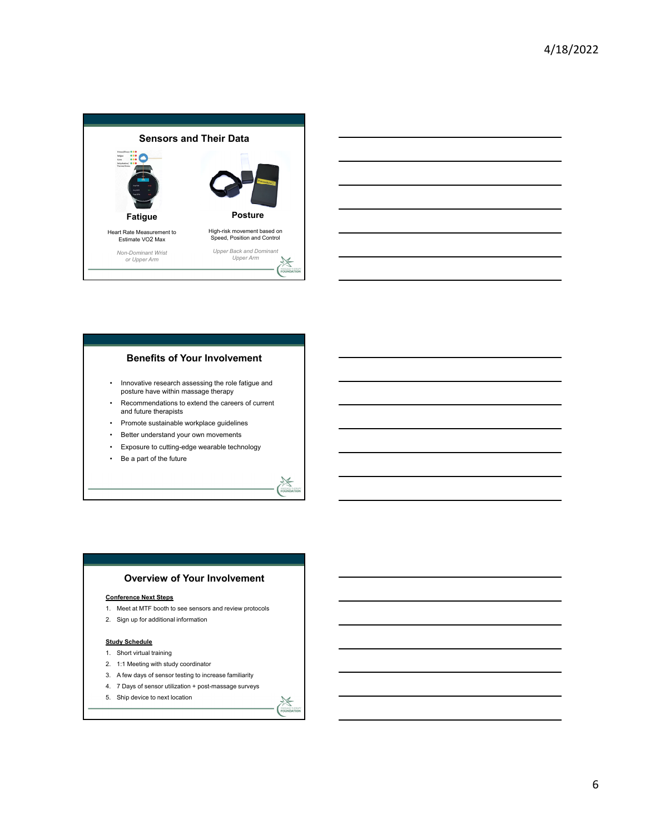

#### **Benefits of Your Involvement**

- Innovative research assessing the role fatigue and posture have within massage therapy
- Recommendations to extend the careers of current and future therapists
- Promote sustainable workplace guidelines
- Better understand your own movements
- Exposure to cutting-edge wearable technology
- Be a part of the future



#### **Conference Next Steps**

- 1. Meet at MTF booth to see sensors and review protocols
- 2. Sign up for additional information

#### **Study Schedule**

- 1. Short virtual training
- 2. 1:1 Meeting with study coordinator
- 3. A few days of sensor testing to increase familiarity
- 4. 7 Days of sensor utilization + post-massage surveys
- 5. Ship device to next location